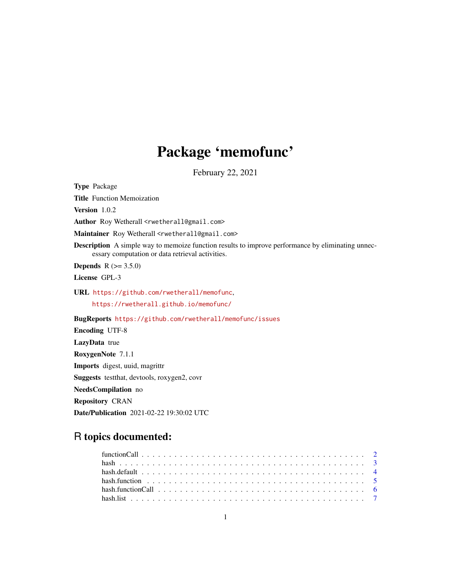# Package 'memofunc'

February 22, 2021

Type Package Title Function Memoization Version 1.0.2 Author Roy Wetherall <rwetherall@gmail.com> Maintainer Roy Wetherall <rwetherall@gmail.com> **Description** A simple way to memoize function results to improve performance by eliminating unnecessary computation or data retrieval activities. **Depends** R  $(>= 3.5.0)$ License GPL-3 URL <https://github.com/rwetherall/memofunc>, <https://rwetherall.github.io/memofunc/> BugReports <https://github.com/rwetherall/memofunc/issues> Encoding UTF-8 LazyData true RoxygenNote 7.1.1 Imports digest, uuid, magrittr Suggests testthat, devtools, roxygen2, covr NeedsCompilation no

Repository CRAN

Date/Publication 2021-02-22 19:30:02 UTC

# R topics documented: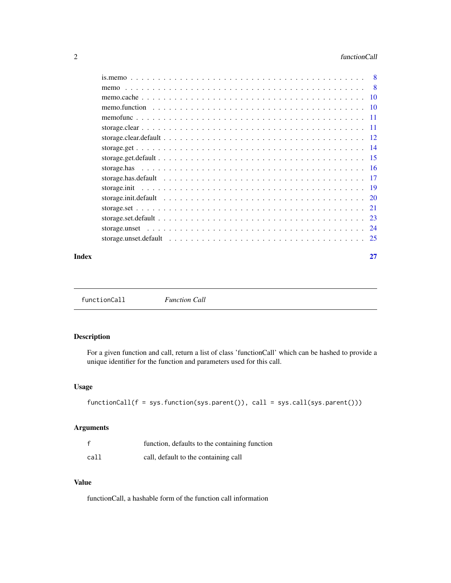<span id="page-1-0"></span>

| - 8 |
|-----|
|     |
|     |
|     |
|     |
|     |
|     |
|     |
|     |
|     |
|     |
|     |
|     |
|     |
|     |
|     |

#### **Index** [27](#page-26-0)

# Description

For a given function and call, return a list of class 'functionCall' which can be hashed to provide a unique identifier for the function and parameters used for this call.

# Usage

```
functionCall(f = sys.function(sys.parent()), call = sys.call(sys.parent()))
```
# Arguments

|      | function, defaults to the containing function |
|------|-----------------------------------------------|
| call | call, default to the containing call          |

# Value

functionCall, a hashable form of the function call information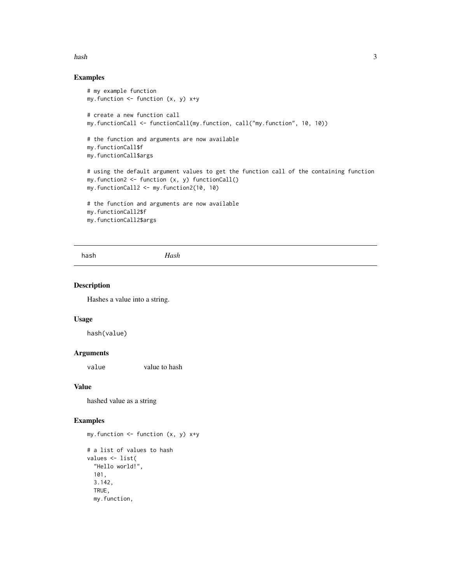#### <span id="page-2-0"></span>hash 3

# Examples

```
# my example function
my.function \leq function (x, y) x+y# create a new function call
my.functionCall <- functionCall(my.function, call("my.function", 10, 10))
# the function and arguments are now available
my.functionCall$f
my.functionCall$args
# using the default argument values to get the function call of the containing function
my.function2 <- function (x, y) functionCall()
my.functionCall2 <- my.function2(10, 10)
# the function and arguments are now available
my.functionCall2$f
my.functionCall2$args
```
hash *Hash*

#### Description

Hashes a value into a string.

#### Usage

hash(value)

# Arguments

value value to hash

#### Value

hashed value as a string

## Examples

my.function  $\leq$  function  $(x, y)$   $x+y$ # a list of values to hash values <- list( "Hello world!", 101, 3.142, TRUE, my.function,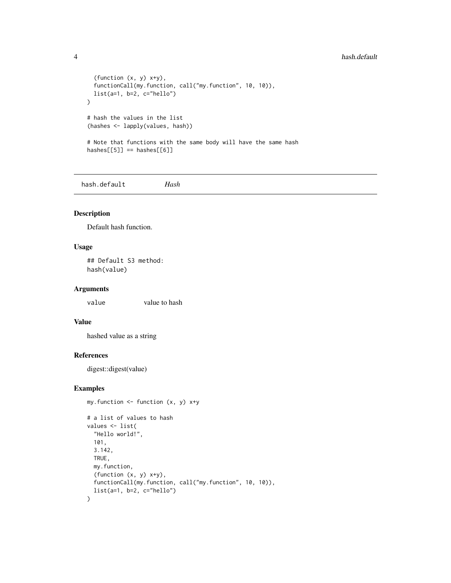#### <span id="page-3-0"></span>4 hash.default

```
(function (x, y) x+y),functionCall(my.function, call("my.function", 10, 10)),
  list(a=1, b=2, c="hello")
\mathcal{L}# hash the values in the list
(hashes <- lapply(values, hash))
# Note that functions with the same body will have the same hash
hashes[[5]] == hashes[[6]]
```
hash.default *Hash*

#### Description

Default hash function.

# Usage

## Default S3 method: hash(value)

# Arguments

value value to hash

#### Value

hashed value as a string

#### References

digest::digest(value)

# Examples

my.function  $\le$  function  $(x, y)$   $x+y$ 

```
# a list of values to hash
values <- list(
  "Hello world!",
  101,
  3.142,
  TRUE,
  my.function,
  (function (x, y) x+y),
  functionCall(my.function, call("my.function", 10, 10)),
  list(a=1, b=2, c='hello"))
```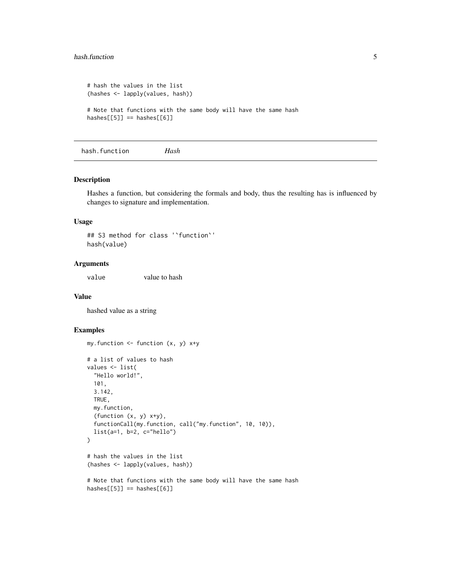#### <span id="page-4-0"></span>hash.function 5

```
# hash the values in the list
(hashes <- lapply(values, hash))
# Note that functions with the same body will have the same hash
hashes[[5]] == hashes[[6]]
```
hash.function *Hash*

#### Description

Hashes a function, but considering the formals and body, thus the resulting has is influenced by changes to signature and implementation.

#### Usage

```
## S3 method for class '`function`'
hash(value)
```
#### Arguments

value value to hash

#### Value

hashed value as a string

```
my.function \le function (x, y) x+y# a list of values to hash
values <- list(
  "Hello world!",
  101,
  3.142,
  TRUE,
  my.function,
  (function (x, y) x+y),
  functionCall(my.function, call("my.function", 10, 10)),
  list(a=1, b=2, c='hello"))
# hash the values in the list
(hashes <- lapply(values, hash))
# Note that functions with the same body will have the same hash
hashes[[5]] == hashes[[6]]
```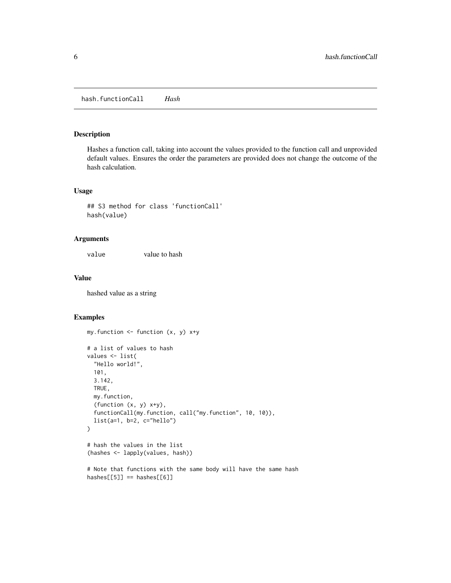# <span id="page-5-0"></span>Description

Hashes a function call, taking into account the values provided to the function call and unprovided default values. Ensures the order the parameters are provided does not change the outcome of the hash calculation.

# Usage

```
## S3 method for class 'functionCall'
hash(value)
```
# Arguments

value value to hash

#### Value

hashed value as a string

```
my.function \leq function (x, y) x+y# a list of values to hash
values <- list(
 "Hello world!",
 101,
 3.142,
 TRUE,
 my.function,
 (function (x, y) x+y),
 functionCall(my.function, call("my.function", 10, 10)),
 list(a=1, b=2, c="hello")
\mathcal{L}# hash the values in the list
(hashes <- lapply(values, hash))
```

```
# Note that functions with the same body will have the same hash
hashes[[5]] == hashes[[6]]
```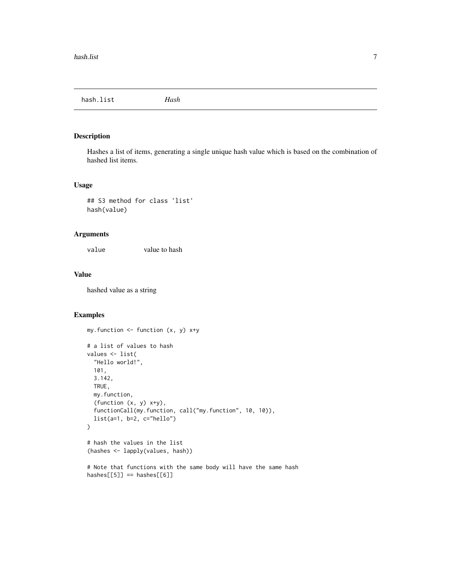<span id="page-6-0"></span>hash.list *Hash*

# Description

Hashes a list of items, generating a single unique hash value which is based on the combination of hashed list items.

# Usage

```
## S3 method for class 'list'
hash(value)
```
# Arguments

value value to hash

#### Value

hashed value as a string

```
my.function \le function (x, y) x+y# a list of values to hash
values <- list(
  "Hello world!",
  101,
  3.142,
  TRUE,
  my.function,
  (function (x, y) x+y),
  functionCall(my.function, call("my.function", 10, 10)),
  list(a=1, b=2, c="hello")
\mathcal{L}# hash the values in the list
(hashes <- lapply(values, hash))
# Note that functions with the same body will have the same hash
hashes[[5]] == hashes[[6]]
```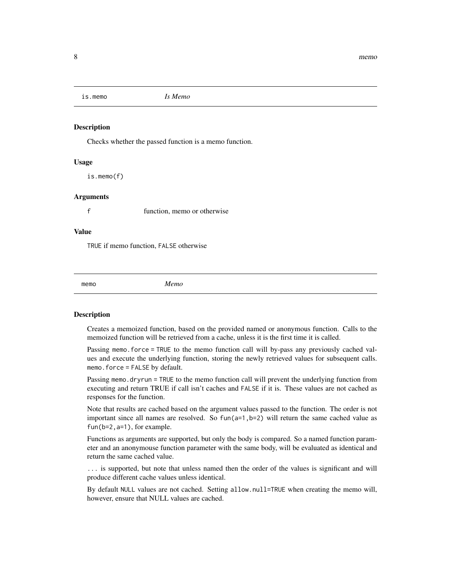<span id="page-7-2"></span><span id="page-7-0"></span>is.memo *Is Memo*

#### Description

Checks whether the passed function is a memo function.

# Usage

is.memo(f)

#### Arguments

f function, memo or otherwise

# Value

TRUE if memo function, FALSE otherwise

<span id="page-7-1"></span>memo *Memo*

#### Description

Creates a memoized function, based on the provided named or anonymous function. Calls to the memoized function will be retrieved from a cache, unless it is the first time it is called.

Passing memo.force = TRUE to the memo function call will by-pass any previously cached values and execute the underlying function, storing the newly retrieved values for subsequent calls. memo.force = FALSE by default.

Passing memo.dryrun = TRUE to the memo function call will prevent the underlying function from executing and return TRUE if call isn't caches and FALSE if it is. These values are not cached as responses for the function.

Note that results are cached based on the argument values passed to the function. The order is not important since all names are resolved. So  $fun(a=1,b=2)$  will return the same cached value as fun(b=2,a=1), for example.

Functions as arguments are supported, but only the body is compared. So a named function parameter and an anonymouse function parameter with the same body, will be evaluated as identical and return the same cached value.

... is supported, but note that unless named then the order of the values is significant and will produce different cache values unless identical.

By default NULL values are not cached. Setting allow.null=TRUE when creating the memo will, however, ensure that NULL values are cached.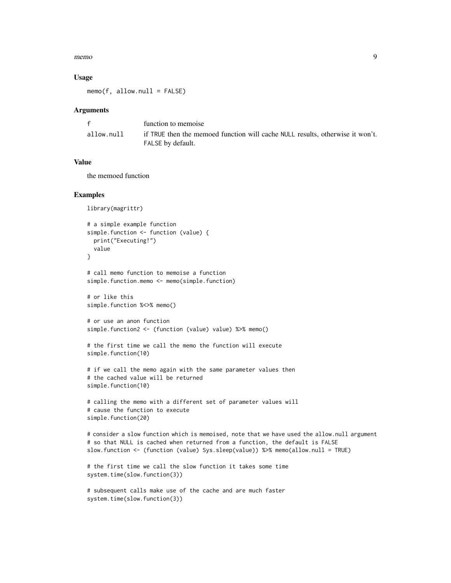#### memo 99

#### Usage

 $memo(f, allow.null = FALSE)$ 

#### Arguments

|            | function to memoise                                                                                |
|------------|----------------------------------------------------------------------------------------------------|
| allow.null | if TRUE then the memoed function will cache NULL results, otherwise it won't.<br>FALSE by default. |

# Value

the memoed function

```
library(magrittr)
# a simple example function
simple.function <- function (value) {
 print("Executing!")
 value
}
# call memo function to memoise a function
simple.function.memo <- memo(simple.function)
# or like this
simple.function %<>% memo()
# or use an anon function
simple.function2 <- (function (value) value) %>% memo()
# the first time we call the memo the function will execute
simple.function(10)
# if we call the memo again with the same parameter values then
# the cached value will be returned
simple.function(10)
# calling the memo with a different set of parameter values will
# cause the function to execute
simple.function(20)
# consider a slow function which is memoised, note that we have used the allow.null argument
# so that NULL is cached when returned from a function, the default is FALSE
slow.function <- (function (value) Sys.sleep(value)) %>% memo(allow.null = TRUE)
# the first time we call the slow function it takes some time
system.time(slow.function(3))
# subsequent calls make use of the cache and are much faster
system.time(slow.function(3))
```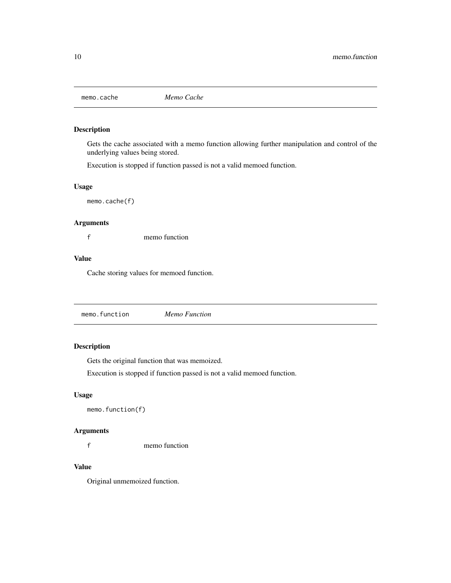<span id="page-9-2"></span><span id="page-9-0"></span>

# Description

Gets the cache associated with a memo function allowing further manipulation and control of the underlying values being stored.

Execution is stopped if function passed is not a valid memoed function.

# Usage

memo.cache(f)

# Arguments

f memo function

# Value

Cache storing values for memoed function.

<span id="page-9-1"></span>memo.function *Memo Function*

# Description

Gets the original function that was memoized.

Execution is stopped if function passed is not a valid memoed function.

# Usage

```
memo.function(f)
```
# Arguments

f memo function

# Value

Original unmemoized function.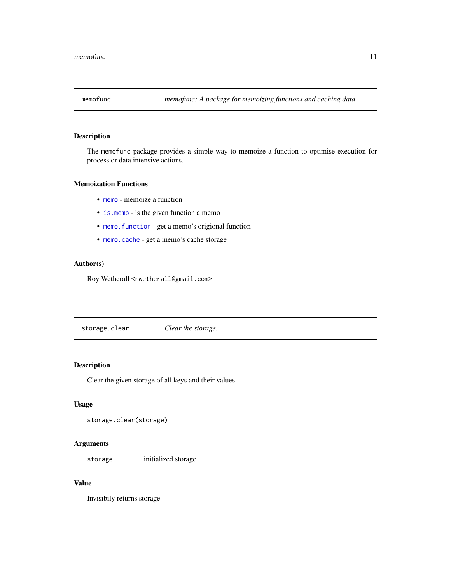<span id="page-10-0"></span>

# Description

The memofunc package provides a simple way to memoize a function to optimise execution for process or data intensive actions.

# Memoization Functions

- [memo](#page-7-1) memoize a function
- is. memo is the given function a memo
- [memo.function](#page-9-1) get a memo's origional function
- [memo.cache](#page-9-2) get a memo's cache storage

# Author(s)

Roy Wetherall <rwetherall@gmail.com>

storage.clear *Clear the storage.*

# Description

Clear the given storage of all keys and their values.

# Usage

storage.clear(storage)

# Arguments

storage initialized storage

# Value

Invisibily returns storage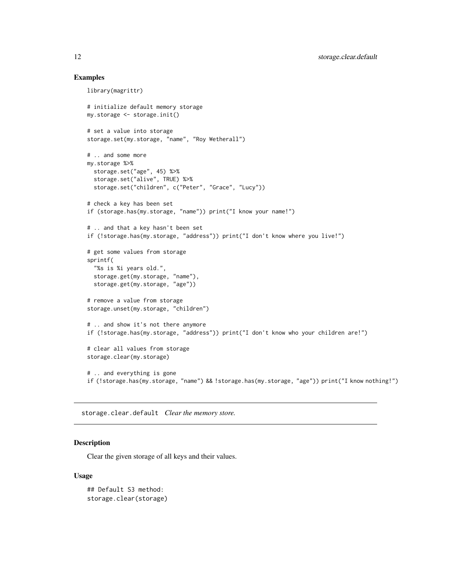#### Examples

```
library(magrittr)
# initialize default memory storage
my.storage <- storage.init()
# set a value into storage
storage.set(my.storage, "name", "Roy Wetherall")
# .. and some more
my.storage %>%
  storage.set("age", 45) %>%
  storage.set("alive", TRUE) %>%
  storage.set("children", c("Peter", "Grace", "Lucy"))
# check a key has been set
if (storage.has(my.storage, "name")) print("I know your name!")
# .. and that a key hasn't been set
if (!storage.has(my.storage, "address")) print("I don't know where you live!")
# get some values from storage
sprintf(
  "%s is %i years old.",
  storage.get(my.storage, "name"),
  storage.get(my.storage, "age"))
# remove a value from storage
storage.unset(my.storage, "children")
# .. and show it's not there anymore
if (!storage.has(my.storage, "address")) print("I don't know who your children are!")
# clear all values from storage
storage.clear(my.storage)
# .. and everything is gone
if (!storage.has(my.storage, "name") && !storage.has(my.storage, "age")) print("I know nothing!")
```
storage.clear.default *Clear the memory store.*

#### Description

Clear the given storage of all keys and their values.

#### Usage

```
## Default S3 method:
storage.clear(storage)
```
<span id="page-11-0"></span>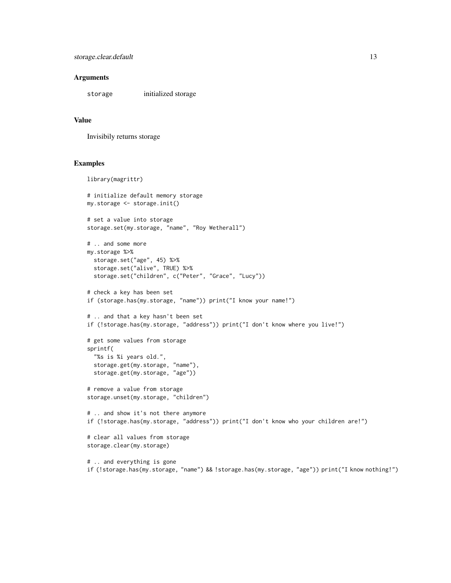#### **Arguments**

storage initialized storage

#### Value

Invisibily returns storage

```
library(magrittr)
# initialize default memory storage
my.storage <- storage.init()
# set a value into storage
storage.set(my.storage, "name", "Roy Wetherall")
# .. and some more
my.storage %>%
  storage.set("age", 45) %>%
  storage.set("alive", TRUE) %>%
  storage.set("children", c("Peter", "Grace", "Lucy"))
# check a key has been set
if (storage.has(my.storage, "name")) print("I know your name!")
# .. and that a key hasn't been set
if (!storage.has(my.storage, "address")) print("I don't know where you live!")
# get some values from storage
sprintf(
  "%s is %i years old.",
  storage.get(my.storage, "name"),
  storage.get(my.storage, "age"))
# remove a value from storage
storage.unset(my.storage, "children")
# .. and show it's not there anymore
if (!storage.has(my.storage, "address")) print("I don't know who your children are!")
# clear all values from storage
storage.clear(my.storage)
# .. and everything is gone
if (!storage.has(my.storage, "name") && !storage.has(my.storage, "age")) print("I know nothing!")
```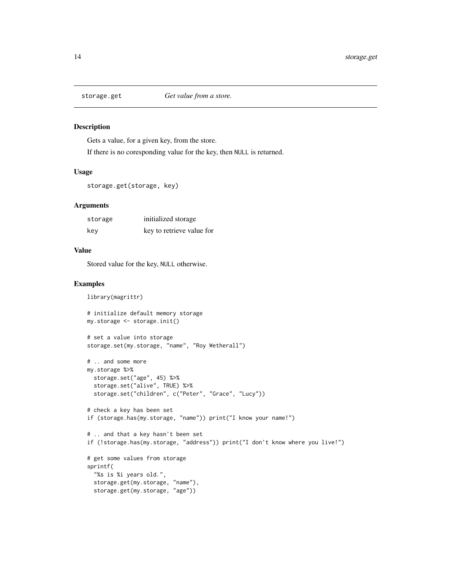<span id="page-13-0"></span>

# Description

Gets a value, for a given key, from the store.

If there is no coresponding value for the key, then NULL is returned.

#### Usage

```
storage.get(storage, key)
```
#### Arguments

| storage | initialized storage       |
|---------|---------------------------|
| kev     | key to retrieve value for |

#### Value

Stored value for the key, NULL otherwise.

```
library(magrittr)
# initialize default memory storage
my.storage <- storage.init()
# set a value into storage
storage.set(my.storage, "name", "Roy Wetherall")
# .. and some more
my.storage %>%
  storage.set("age", 45) %>%
  storage.set("alive", TRUE) %>%
  storage.set("children", c("Peter", "Grace", "Lucy"))
# check a key has been set
if (storage.has(my.storage, "name")) print("I know your name!")
# .. and that a key hasn't been set
if (!storage.has(my.storage, "address")) print("I don't know where you live!")
# get some values from storage
sprintf(
  "%s is %i years old.",
  storage.get(my.storage, "name"),
  storage.get(my.storage, "age"))
```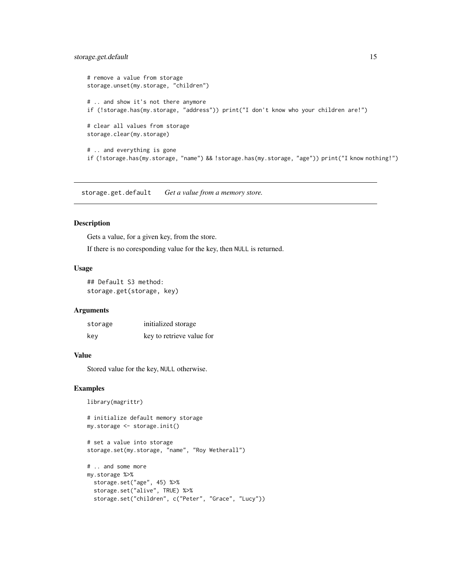# <span id="page-14-0"></span>storage.get.default 15

```
# remove a value from storage
storage.unset(my.storage, "children")
# .. and show it's not there anymore
if (!storage.has(my.storage, "address")) print("I don't know who your children are!")
# clear all values from storage
storage.clear(my.storage)
# .. and everything is gone
if (!storage.has(my.storage, "name") && !storage.has(my.storage, "age")) print("I know nothing!")
```
storage.get.default *Get a value from a memory store.*

# Description

Gets a value, for a given key, from the store.

If there is no coresponding value for the key, then NULL is returned.

#### Usage

## Default S3 method: storage.get(storage, key)

### **Arguments**

| storage | initialized storage       |
|---------|---------------------------|
| kev     | key to retrieve value for |

#### Value

Stored value for the key, NULL otherwise.

# initialize default memory storage

```
library(magrittr)
```

```
my.storage <- storage.init()
# set a value into storage
storage.set(my.storage, "name", "Roy Wetherall")
# .. and some more
my.storage %>%
 storage.set("age", 45) %>%
  storage.set("alive", TRUE) %>%
  storage.set("children", c("Peter", "Grace", "Lucy"))
```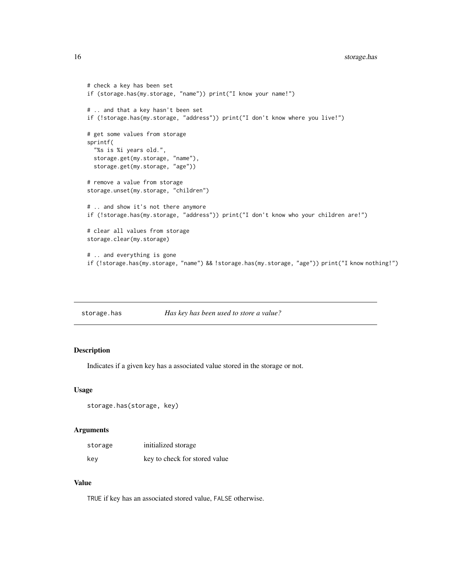# <span id="page-15-0"></span>16 storage.has

```
# check a key has been set
if (storage.has(my.storage, "name")) print("I know your name!")
# .. and that a key hasn't been set
if (!storage.has(my.storage, "address")) print("I don't know where you live!")
# get some values from storage
sprintf(
 "%s is %i years old.",
 storage.get(my.storage, "name"),
 storage.get(my.storage, "age"))
# remove a value from storage
storage.unset(my.storage, "children")
# .. and show it's not there anymore
if (!storage.has(my.storage, "address")) print("I don't know who your children are!")
# clear all values from storage
storage.clear(my.storage)
# .. and everything is gone
if (!storage.has(my.storage, "name") && !storage.has(my.storage, "age")) print("I know nothing!")
```

|  | storage.has | Has key has been used to store a value? |
|--|-------------|-----------------------------------------|
|--|-------------|-----------------------------------------|

# Description

Indicates if a given key has a associated value stored in the storage or not.

#### Usage

```
storage.has(storage, key)
```
# Arguments

| storage | initialized storage           |
|---------|-------------------------------|
| kev     | key to check for stored value |

# Value

TRUE if key has an associated stored value, FALSE otherwise.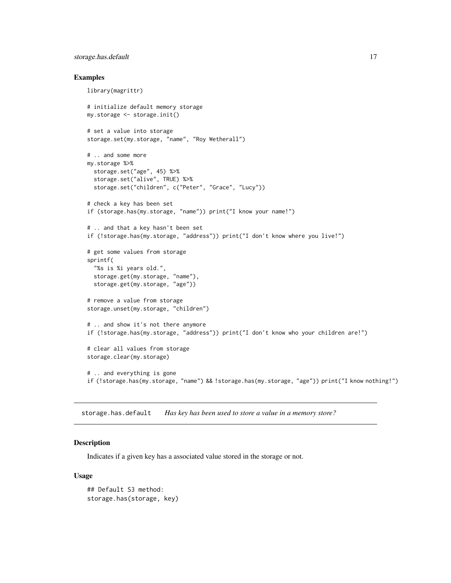# <span id="page-16-0"></span>storage.has.default 17

#### Examples

```
library(magrittr)
# initialize default memory storage
my.storage <- storage.init()
# set a value into storage
storage.set(my.storage, "name", "Roy Wetherall")
# .. and some more
my.storage %>%
  storage.set("age", 45) %>%
  storage.set("alive", TRUE) %>%
  storage.set("children", c("Peter", "Grace", "Lucy"))
# check a key has been set
if (storage.has(my.storage, "name")) print("I know your name!")
# .. and that a key hasn't been set
if (!storage.has(my.storage, "address")) print("I don't know where you live!")
# get some values from storage
sprintf(
  "%s is %i years old.",
  storage.get(my.storage, "name"),
  storage.get(my.storage, "age"))
# remove a value from storage
storage.unset(my.storage, "children")
# .. and show it's not there anymore
if (!storage.has(my.storage, "address")) print("I don't know who your children are!")
# clear all values from storage
storage.clear(my.storage)
# .. and everything is gone
if (!storage.has(my.storage, "name") && !storage.has(my.storage, "age")) print("I know nothing!")
```
storage.has.default *Has key has been used to store a value in a memory store?*

#### **Description**

Indicates if a given key has a associated value stored in the storage or not.

#### Usage

```
## Default S3 method:
storage.has(storage, key)
```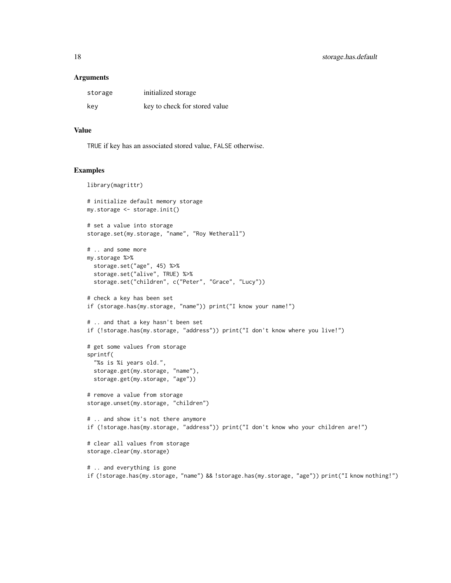#### **Arguments**

| storage | initialized storage           |
|---------|-------------------------------|
| kev     | key to check for stored value |

# Value

TRUE if key has an associated stored value, FALSE otherwise.

```
library(magrittr)
# initialize default memory storage
my.storage <- storage.init()
# set a value into storage
storage.set(my.storage, "name", "Roy Wetherall")
# .. and some more
my.storage %>%
  storage.set("age", 45) %>%
  storage.set("alive", TRUE) %>%
  storage.set("children", c("Peter", "Grace", "Lucy"))
# check a key has been set
if (storage.has(my.storage, "name")) print("I know your name!")
# .. and that a key hasn't been set
if (!storage.has(my.storage, "address")) print("I don't know where you live!")
# get some values from storage
sprintf(
  "%s is %i years old.",
  storage.get(my.storage, "name"),
  storage.get(my.storage, "age"))
# remove a value from storage
storage.unset(my.storage, "children")
# .. and show it's not there anymore
if (!storage.has(my.storage, "address")) print("I don't know who your children are!")
# clear all values from storage
storage.clear(my.storage)
# .. and everything is gone
if (!storage.has(my.storage, "name") && !storage.has(my.storage, "age")) print("I know nothing!")
```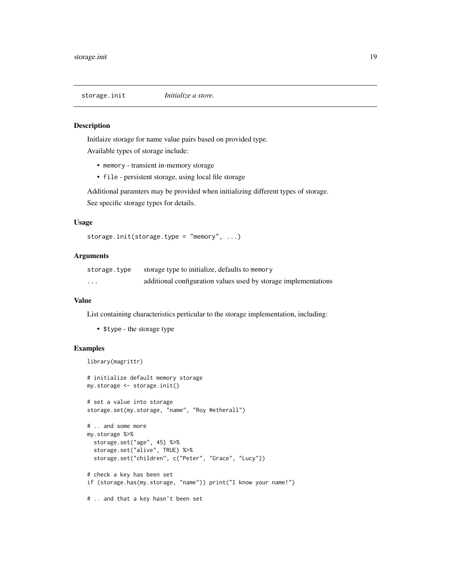<span id="page-18-0"></span>

# Description

Initlaize storage for name value pairs based on provided type. Available types of storage include:

- memory transient in-memory storage
- file persistent storage, using local file storage

Additional paramters may be provided when initializing different types of storage. See specific storage types for details.

# Usage

```
storage.init(storage.type = "memory", ...)
```
# **Arguments**

| storage.type | storage type to initialize, defaults to memory                  |
|--------------|-----------------------------------------------------------------|
| $\cdot$      | additional configuration values used by storage implementations |

#### Value

List containing characteristics perticular to the storage implementation, including:

• \$type - the storage type

# Examples

```
library(magrittr)
```

```
# initialize default memory storage
my.storage <- storage.init()
# set a value into storage
storage.set(my.storage, "name", "Roy Wetherall")
```

```
# .. and some more
my.storage %>%
  storage.set("age", 45) %>%
  storage.set("alive", TRUE) %>%
  storage.set("children", c("Peter", "Grace", "Lucy"))
```
# check a key has been set if (storage.has(my.storage, "name")) print("I know your name!")

# .. and that a key hasn't been set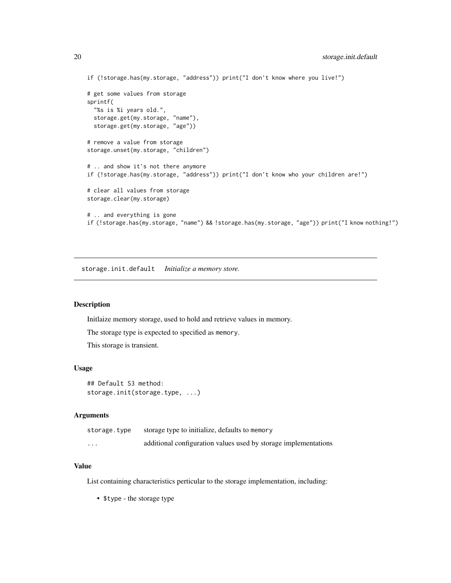```
if (!storage.has(my.storage, "address")) print("I don't know where you live!")
# get some values from storage
sprintf(
 "%s is %i years old.",
 storage.get(my.storage, "name"),
 storage.get(my.storage, "age"))
# remove a value from storage
storage.unset(my.storage, "children")
# .. and show it's not there anymore
if (!storage.has(my.storage, "address")) print("I don't know who your children are!")
# clear all values from storage
storage.clear(my.storage)
# .. and everything is gone
if (!storage.has(my.storage, "name") && !storage.has(my.storage, "age")) print("I know nothing!")
```
storage.init.default *Initialize a memory store.*

#### Description

Initlaize memory storage, used to hold and retrieve values in memory.

The storage type is expected to specified as memory.

This storage is transient.

#### Usage

```
## Default S3 method:
storage.init(storage.type, ...)
```
#### **Arguments**

| storage.type | storage type to initialize, defaults to memory                  |
|--------------|-----------------------------------------------------------------|
| $\cdots$     | additional configuration values used by storage implementations |

#### Value

List containing characteristics perticular to the storage implementation, including:

• \$type - the storage type

<span id="page-19-0"></span>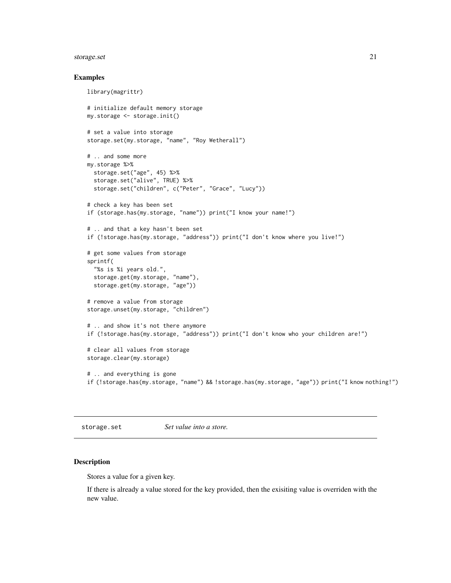# <span id="page-20-0"></span>storage.set 21

#### Examples

```
library(magrittr)
# initialize default memory storage
my.storage <- storage.init()
# set a value into storage
storage.set(my.storage, "name", "Roy Wetherall")
# .. and some more
my.storage %>%
  storage.set("age", 45) %>%
  storage.set("alive", TRUE) %>%
  storage.set("children", c("Peter", "Grace", "Lucy"))
# check a key has been set
if (storage.has(my.storage, "name")) print("I know your name!")
# .. and that a key hasn't been set
if (!storage.has(my.storage, "address")) print("I don't know where you live!")
# get some values from storage
sprintf(
  "%s is %i years old.",
  storage.get(my.storage, "name"),
  storage.get(my.storage, "age"))
# remove a value from storage
storage.unset(my.storage, "children")
# .. and show it's not there anymore
if (!storage.has(my.storage, "address")) print("I don't know who your children are!")
# clear all values from storage
storage.clear(my.storage)
# .. and everything is gone
if (!storage.has(my.storage, "name") && !storage.has(my.storage, "age")) print("I know nothing!")
```
storage.set *Set value into a store.*

# Description

Stores a value for a given key.

If there is already a value stored for the key provided, then the exisiting value is overriden with the new value.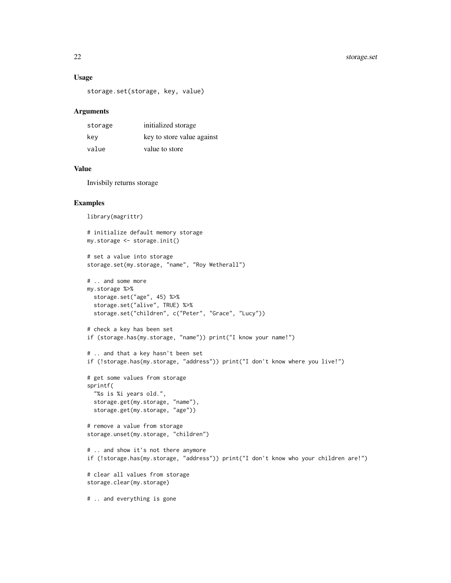# Usage

```
storage.set(storage, key, value)
```
#### Arguments

| storage | initialized storage        |
|---------|----------------------------|
| kev     | key to store value against |
| value   | value to store             |

#### Value

Invisbily returns storage

```
library(magrittr)
# initialize default memory storage
my.storage <- storage.init()
# set a value into storage
storage.set(my.storage, "name", "Roy Wetherall")
# .. and some more
my.storage %>%
 storage.set("age", 45) %>%
  storage.set("alive", TRUE) %>%
  storage.set("children", c("Peter", "Grace", "Lucy"))
# check a key has been set
if (storage.has(my.storage, "name")) print("I know your name!")
# .. and that a key hasn't been set
if (!storage.has(my.storage, "address")) print("I don't know where you live!")
# get some values from storage
sprintf(
  "%s is %i years old.",
  storage.get(my.storage, "name"),
  storage.get(my.storage, "age"))
# remove a value from storage
storage.unset(my.storage, "children")
# .. and show it's not there anymore
if (!storage.has(my.storage, "address")) print("I don't know who your children are!")
# clear all values from storage
storage.clear(my.storage)
# .. and everything is gone
```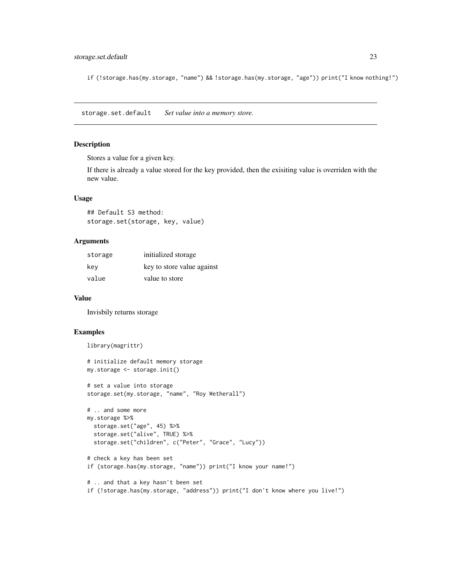# <span id="page-22-0"></span>storage.set.default 23

if (!storage.has(my.storage, "name") && !storage.has(my.storage, "age")) print("I know nothing!")

storage.set.default *Set value into a memory store.*

# Description

Stores a value for a given key.

If there is already a value stored for the key provided, then the exisiting value is overriden with the new value.

# Usage

## Default S3 method: storage.set(storage, key, value)

#### Arguments

| storage | initialized storage        |
|---------|----------------------------|
| key     | key to store value against |
| value   | value to store             |

#### Value

Invisbily returns storage

# Examples

```
library(magrittr)
```
# initialize default memory storage my.storage <- storage.init()

```
# set a value into storage
storage.set(my.storage, "name", "Roy Wetherall")
```

```
# .. and some more
my.storage %>%
  storage.set("age", 45) %>%
  storage.set("alive", TRUE) %>%
  storage.set("children", c("Peter", "Grace", "Lucy"))
```

```
# check a key has been set
if (storage.has(my.storage, "name")) print("I know your name!")
```

```
# .. and that a key hasn't been set
if (!storage.has(my.storage, "address")) print("I don't know where you live!")
```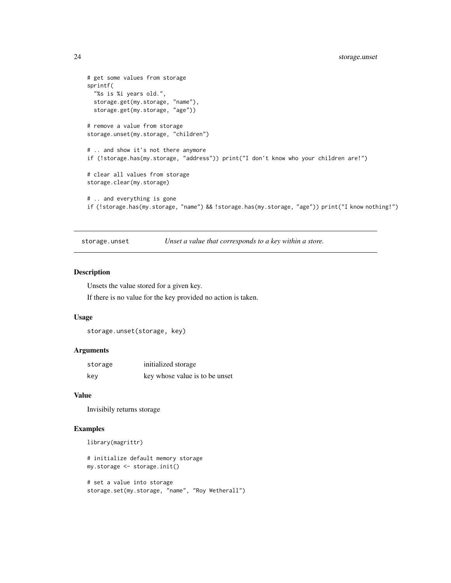```
# get some values from storage
sprintf(
 "%s is %i years old.",
 storage.get(my.storage, "name"),
 storage.get(my.storage, "age"))
# remove a value from storage
storage.unset(my.storage, "children")
# .. and show it's not there anymore
if (!storage.has(my.storage, "address")) print("I don't know who your children are!")
# clear all values from storage
storage.clear(my.storage)
# .. and everything is gone
if (!storage.has(my.storage, "name") && !storage.has(my.storage, "age")) print("I know nothing!")
```
storage.unset *Unset a value that corresponds to a key within a store.*

# Description

Unsets the value stored for a given key.

If there is no value for the key provided no action is taken.

#### Usage

```
storage.unset(storage, key)
```
#### Arguments

| storage | initialized storage            |
|---------|--------------------------------|
| key     | key whose value is to be unset |

#### Value

Invisibily returns storage

# Examples

```
library(magrittr)
```
# initialize default memory storage my.storage <- storage.init()

```
# set a value into storage
storage.set(my.storage, "name", "Roy Wetherall")
```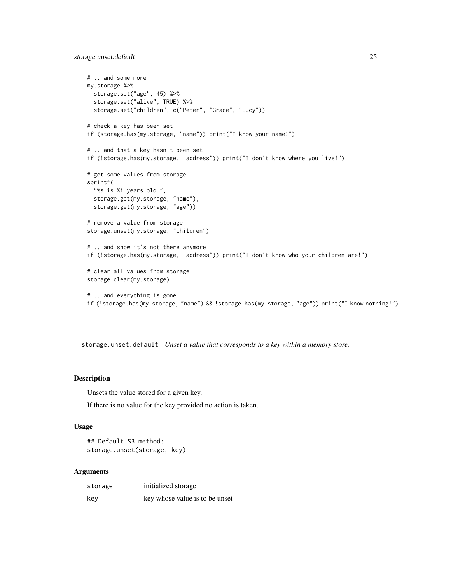<span id="page-24-0"></span>storage.unset.default 25

```
# .. and some more
my.storage %>%
  storage.set("age", 45) %>%
  storage.set("alive", TRUE) %>%
  storage.set("children", c("Peter", "Grace", "Lucy"))
# check a key has been set
if (storage.has(my.storage, "name")) print("I know your name!")
# .. and that a key hasn't been set
if (!storage.has(my.storage, "address")) print("I don't know where you live!")
# get some values from storage
sprintf(
  "%s is %i years old.",
  storage.get(my.storage, "name"),
  storage.get(my.storage, "age"))
# remove a value from storage
storage.unset(my.storage, "children")
# .. and show it's not there anymore
if (!storage.has(my.storage, "address")) print("I don't know who your children are!")
# clear all values from storage
storage.clear(my.storage)
# .. and everything is gone
if (!storage.has(my.storage, "name") && !storage.has(my.storage, "age")) print("I know nothing!")
```
storage.unset.default *Unset a value that corresponds to a key within a memory store.*

# Description

Unsets the value stored for a given key.

If there is no value for the key provided no action is taken.

# Usage

```
## Default S3 method:
storage.unset(storage, key)
```
#### Arguments

| storage | initialized storage            |
|---------|--------------------------------|
| kev     | key whose value is to be unset |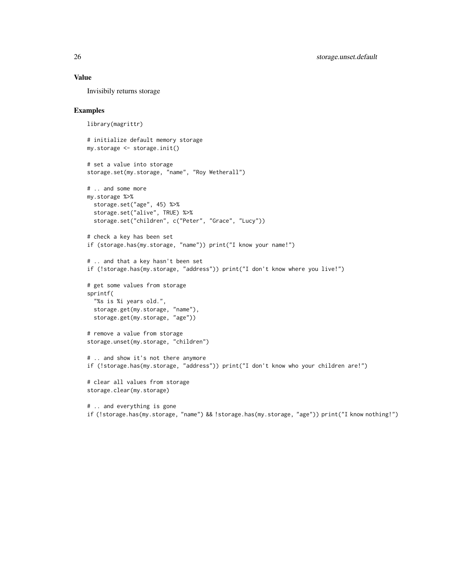#### Value

Invisibily returns storage

```
library(magrittr)
# initialize default memory storage
my.storage <- storage.init()
# set a value into storage
storage.set(my.storage, "name", "Roy Wetherall")
# .. and some more
my.storage %>%
 storage.set("age", 45) %>%
  storage.set("alive", TRUE) %>%
  storage.set("children", c("Peter", "Grace", "Lucy"))
# check a key has been set
if (storage.has(my.storage, "name")) print("I know your name!")
# .. and that a key hasn't been set
if (!storage.has(my.storage, "address")) print("I don't know where you live!")
# get some values from storage
sprintf(
  "%s is %i years old.",
  storage.get(my.storage, "name"),
  storage.get(my.storage, "age"))
# remove a value from storage
storage.unset(my.storage, "children")
# .. and show it's not there anymore
if (!storage.has(my.storage, "address")) print("I don't know who your children are!")
# clear all values from storage
storage.clear(my.storage)
# .. and everything is gone
```

```
if (!storage.has(my.storage, "name") && !storage.has(my.storage, "age")) print("I know nothing!")
```